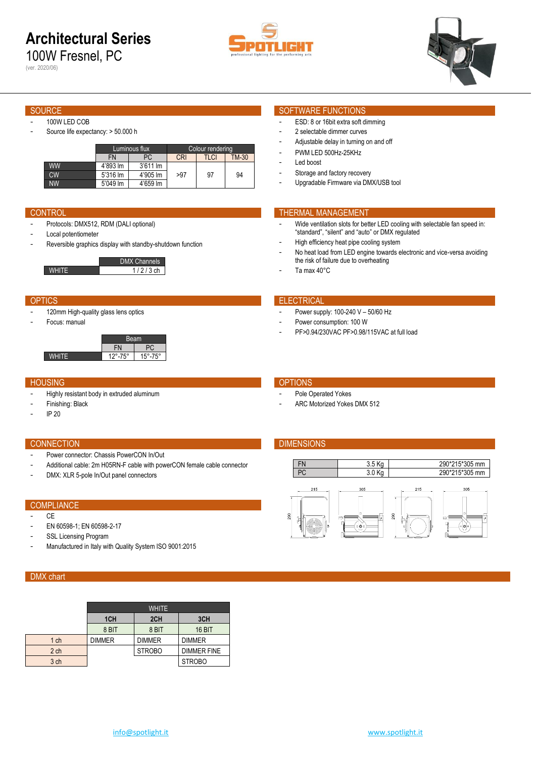# **Architectural Series**

100W Fresnel, PC







- 100W LED COB
- Source life expectancy: > 50.000 h

|           |           | Luminous flux        | Colour rendering |      |              |  |  |
|-----------|-----------|----------------------|------------------|------|--------------|--|--|
|           | <b>FN</b> | <b>CRI</b><br>PC     |                  | TLCI | <b>TM-30</b> |  |  |
| <b>WW</b> | 4'893 lm  | $3'611 \, \text{Im}$ |                  |      |              |  |  |
| CW        | 5'316 lm  | 4'905 lm             | >97              | 97   | 94           |  |  |
| <b>NW</b> | 5'049 lm  | 4'659 lm             |                  |      |              |  |  |

- Protocols: DMX512, RDM (DALI optional)
- Local potentiometer
- Reversible graphics display with standby-shutdown function

|            | DMX Channels |
|------------|--------------|
| $1/2/3$ ch |              |

- 120mm High-quality glass lens optics
- Focus: manual

| Beam                      |             |  |  |  |  |
|---------------------------|-------------|--|--|--|--|
|                           |             |  |  |  |  |
| $12^{\circ} - 75^{\circ}$ | 75°<br>15°్ |  |  |  |  |

### HOUSING **OPTIONS**

- Highly resistant body in extruded aluminum
- Finishing: Black
- IP 20

## CONNECTION **DIMENSIONS**

- Power connector: Chassis PowerCON In/Out
- Additional cable: 2m H05RN-F cable with powerCON female cable connector
- DMX: XLR 5-pole In/Out panel connectors

# **COMPLIANCE**

### - CE

- EN 60598-1; EN 60598-2-17
- SSL Licensing Program
- Manufactured in Italy with Quality System ISO 9001:2015

# DMX chart

|                 | <b>WHITE</b>    |               |                    |  |  |  |  |  |
|-----------------|-----------------|---------------|--------------------|--|--|--|--|--|
|                 | 1 <sub>CH</sub> | 2CH           | 3CH                |  |  |  |  |  |
|                 | 8 BIT           | 8 BIT         | <b>16 BIT</b>      |  |  |  |  |  |
| 1 <sub>ch</sub> | <b>DIMMER</b>   | <b>DIMMER</b> | <b>DIMMER</b>      |  |  |  |  |  |
| 2 <sub>ch</sub> |                 | <b>STROBO</b> | <b>DIMMER FINE</b> |  |  |  |  |  |
| 3 ch            |                 |               | <b>STROBO</b>      |  |  |  |  |  |

### SOURCE SOURCE SOFTWARE FUNCTIONS

- ESD: 8 or 16bit extra soft dimming
- 2 selectable dimmer curves
- Adjustable delay in turning on and off
- PWM LED 500Hz-25KHz
- Led boost
- Storage and factory recovery
- Upgradable Firmware via DMX/USB tool

## **CONTROL THERMAL MANAGEMENT**

- Wide ventilation slots for better LED cooling with selectable fan speed in: "standard", "silent" and "auto" or DMX regulated
- High efficiency heat pipe cooling system
- No heat load from LED engine towards electronic and vice-versa avoiding the risk of failure due to overheating
- Ta max 40°C

### OPTICS **ELECTRICAL**

- Power supply: 100-240 V 50/60 Hz
- Power consumption: 100 W
- PF>0.94/230VAC PF>0.98/115VAC at full load

- Pole Operated Yokes
- ARC Motorized Yokes DMX 512